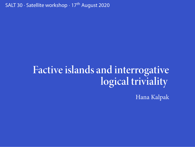SALT 30 *·* Satellite workshop *·* 17th August 2020

## **Factive islands and interrogative logical triviality**

Hana Kalpak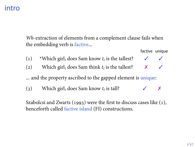#### intro

*Wh*-extraction of elements from a complement clause fails when the embedding verb is factive...

factive unique

- (1) \*Which girl<sub>*i*</sub> does Sam know  $t_i$  is the tallest?  $\checkmark$   $\checkmark$
- (2) Which girl<sub>*i*</sub> does Sam think  $t_i$  is the tallest?  $\times$   $\checkmark$

... and the property ascribed to the gapped element is unique:

(3) Which girl<sub>*i*</sub> does Sam know  $t_i$  is tall?  $\checkmark$  X

Szabolcsi and Zwarts (1993) were the first to discuss cases like  $(1)$ , henceforth called factive island (FI) constructions.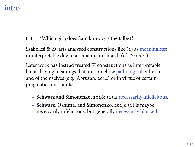#### intro

() \*Which girl*<sup>i</sup>* does Sam know *t<sup>i</sup>* is the tallest?

Szabolcsi & Zwarts analysed constructions like (1) as meaningless; uninterpretable due to a semantic mismatch (cf. *\*six airs*).

Later work has instead treated FI constructions as interpretable, but as having meanings that are somehow pathological either in and of themselves (e.g., Abrusán, 2014) or in virtue of certain pragmatic constraints:

- Schwarz and Simonenko, 2018: (1) is necessarily infelicitous.
- Schwarz, Oshima, and Simonenko, 2019: (1) is maybe necessarily infelicitous, but generally necessarily blocked.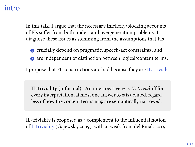## intro

In this talk, I argue that the necessary infelicity/blocking accounts of FIs suffer from both under- and overgeneration problems. I diagnose these issues as stemming from the assumptions that FIs

- **c** crucially depend on pragmatic, speech-act constraints, and **a** are independent of distinction between logical/content terms.
- I propose that FI-constructions are bad because they are IL-trivial:

**IL-triviality (informal).** An interrogative *φ* is *IL-trivial* iff for every interpretation, at most one answer to *φ* is defined, regardless of how the content terms in *φ* are semantically narrowed.

IL-triviality is proposed as a complement to the influential notion of L-triviality (Gajewski, 2009), with a tweak from del Pinal, 2019.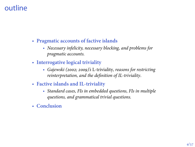## outline

- **Pragmatic accounts of factive islands**
	- *Necessary infelicity, necessary blocking, and problems for pragmatic accounts.*
- **Interrogative logical triviality**
	- *Gajewski (2002; 2009)'s* L-triviality*, reasons for restricting reinterpretation, and the definition of IL-triviality*.
- **Factive islands and IL-triviality**
	- *Standard cases, FIs in embedded questions, FIs in multiple questions, and grammatical trivial questions.*
- **Conclusion**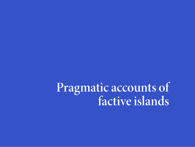**Pragmatic accounts of factive islands**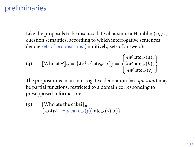## preliminaries

Like the proposals to be discussed, I will assume a Hamblin  $(1973)$ question semantics, according to which interrogative sentences denote sets of propositions (intuitively, sets of answers):

(4) 
$$
[\text{Who ate?}]_{w} = \{\lambda x \lambda w' . \text{ate}_{w'}(x)\} = \begin{cases} \lambda w' . \text{ate}_{w'}(a), \\ \lambda w' . \text{ate}_{w'}(b), \\ \lambda w' . \text{ate}_{w'}(c) \end{cases}
$$

The propositions in an interrogative denotation (= a *question*) may be partial functions, restricted to a domain corresponding to presupposed information:

(5) Who ate the cake? $\mathbb{I}_w =$ *{λxλw′* : *∃*!*y*[**cake***<sup>w</sup>′* (*y*)]*.***ate***<sup>w</sup>′* (*y*)(*x*)*}*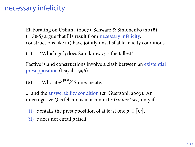## necessary infelicity

Elaborating on Oshima (2007), Schwarz & Simonenko (2018) (= *S&S*) argue that FIs result from necessary infelicity: constructions like (1) have jointly unsatisfiable felicity conditions.

() \*Which girl*<sup>i</sup>* does Sam know *t<sup>i</sup>* is the tallest?

Factive island constructions involve a clash between an existential presupposition (Dayal, 1996)...

(6) Who ate? <sup>presup</sup> Someone ate.

... and the answerability condition (cf. Guerzoni, 2003): An interrogative *Q* is felicitous in a context *c* (*context set*) only if

- (i) *c* entails the presupposition of at least one  $p \in [Q]$ ,
- (ii) *c* does not entail *p* itself.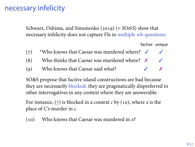#### necessary infelicity

Schwarz, Oshima, and Simonenko (2019) (= *SO&S*) show that necessary infelicity does not capture FIs in multiple *wh*-questions:

factive unique

- (7) \*Who knows that Caesar was murdered where?  $\checkmark$
- (8) Who thinks that Caesar was murdered where?  $\times$   $\checkmark$
- (9) Who knows that Caesar said what?  $\checkmark$   $\checkmark$

SO&S propose that factive island constructions are bad because they are necessarily blocked: they are pragmatically dispreferred to other interrogatives in any context where they are answerable.

For instance,  $(7)$  is blocked in a context  $c$  by  $(10)$ , where  $x$  is the place of C's murder in *c*.

() Who knows that Caesar was murdered in *x*?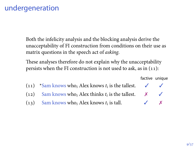## undergeneration

Both the infelicity analysis and the blocking analysis derive the unacceptability of FI construction from conditions on their use as matrix questions in the speech act of *asking*.

These analyses therefore do not explain why the unacceptability persists when the FI construction is not used to ask, as in  $(11)$ :

factive unique

| $(11)$ *Sam knows who, Alex knows $t_i$ is the tallest. |                          |   |
|---------------------------------------------------------|--------------------------|---|
| $(12)$ Sam knows who, Alex thinks $t_i$ is the tallest. |                          |   |
| $(13)$ Sam knows who, Alex knows $t_i$ is tall.         | $\overline{\mathcal{L}}$ | X |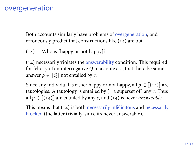#### overgeneration

Both accounts similarly have problems of overgeneration, and erroneously predict that constructions like (14) are out.

(14) Who is [happy or not happy]?

 $(14)$  necessarily violates the answerability condition. This required for felicity of an interrogative *Q* in a context *c*, that there be some answer  $p \in [Q]$  not entailed by *c*.

Since any individual is either happy or not happy, all  $p \in \llbracket (14) \rrbracket$  are tautologies. A tautology is entailed by (= a superset of) any *c*. Thus all  $p \in [[(14)]]$  are entailed by any *c*, and (14) is never *answerable*.

This means that  $(14)$  is both necessarily infelicitous and necessarily blocked (the latter trivially, since it's never answerable).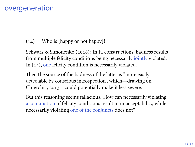## overgeneration

(14) Who is [happy or not happy]?

Schwarz & Simonenko (2018): In FI constructions, badness results from multiple felicity conditions being necessarily jointly violated. In  $(14)$ , one felicity condition is necessarily violated.

Then the source of the badness of the latter is "more easily detectable by conscious introspection", which—drawing on Chierchia, 2013-could potentially make it less severe.

But this reasoning seems fallacious: How can necessarily violating a conjunction of felicity conditions result in unacceptability, while necessarily violating one of the conjuncts does not?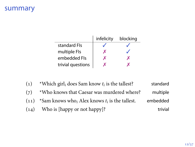## summary

|                   | infelicity | blocking |
|-------------------|------------|----------|
| standard Fls      |            |          |
| multiple FIs      | x          |          |
| embedded FIs      | x          |          |
| trivial questions |            |          |

- () \*Which girl*<sup>i</sup>* does Sam know *t<sup>i</sup>* is the tallest? standard
- (7) \*Who knows that Caesar was murdered where? multiple  $(11)$  \*Sam knows who<sub>*i*</sub> Alex knows  $t_i$  is the tallest. embedded
- (14) Who is [happy or not happy]? trivial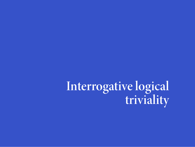**Interrogative logical triviality**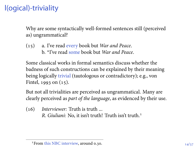## l(ogical)-triviality

Why are some syntactically well-formed sentences still (perceived as) ungrammatical?

() a. I've read every book but *War and Peace*. b. \*I've read some book but *War and Peace*.

Some classical works in formal semantics discuss whether the badness of such constructions can be explained by their meaning being logically trivial (tautologous or contradictory); e.g., von Fintel,  $1993$  on  $(15)$ .

But not all trivialities are perceived as ungrammatical. Many are clearly perceived as *part of the language*, as evidenced by their use.

() *Interviewer:* Truth is truth ... *R. Giuliani:* No, it isn't truth! Truth isn't truth.

<sup>&</sup>lt;sup>1</sup> From this NBC interview, around 0.30.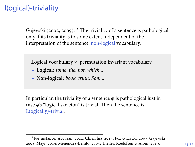## l(ogical)-triviality

Gajewski (2002; 2009):  $^2$  The triviality of a sentence is pathological only if its triviality is to some extent independent of the interpretation of the sentence' non-logical vocabulary.

**Logical vocabulary** *≈* permutation invariant vocabulary.

- **Logical:** *some, the, not, which...*
- **Non-logical:** *book, truth, Sam...*

In particular, the triviality of a sentence  $\varphi$  is pathological just in case *φ*'s "logical skeleton" is trivial. Then the sentence is L(ogically)-trivial.

<sup>&</sup>lt;sup>2</sup>For instance: Abrusán, 2011; Chierchia, 2013; Fox & Hackl, 2007; Gajewski, 2008; Mayr, 2019; Menendez-Benito, 2005; Theiler, Roelofsen & Aloni, 2019.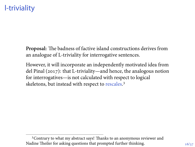## l-triviality

**Proposal:** The badness of factive island constructions derives from an analogue of L-triviality for interrogative sentences.

However, it will incorporate an independently motivated idea from del Pinal  $(2017)$ : that L-triviality—and hence, the analogous notion for interrogatives—is not calculated with respect to logical skeletons, but instead with respect to rescales.<sup>3</sup>

Contrary to what my abstract says! Thanks to an anonymous reviewer and Nadine Theiler for asking questions that prompted further thinking.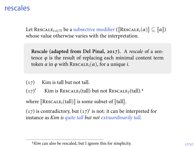## rescales

Let RESCALE<sub>*i*</sub>:*i*∈<sub>N</sub> be a subsective modifier ( $[\text{Rescale}_i(\alpha)] \subseteq [\![\alpha]\!]$ ) whose value otherwise varies with the interpretation.

**Rescale (adapted from Del Pinal, 2017).** A *rescale* of a sentence  $\varphi$  is the result of replacing each minimal content term token  $\alpha$  in  $\varphi$  with RESCALE<sub>*i*</sub>( $\alpha$ ), for a unique *i*.

 $(17)$  Kim is tall but not tall.

(17)<sup>*'* Kim is RESCALE<sub>1</sub>(tall) but not RESCALE<sub>2</sub>(tall).<sup>4</sup></sup>

where  $[\text{Rescale}_i(\text{tall})]$  is some subset of  $[\![\text{tall}]\!]$ .

 $(17)$  is contradictory, but  $(17)'$  is not: it can be interpreted for instance as *Kim is quite tall but not extraordinarily tall.*

*Kim* can also be rescaled, but I ignore this for simplicity.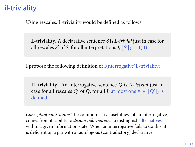## il-triviality

Using rescales, L-triviality would be defined as follows:

**L-triviality.** A declarative sentence *S* is *L-trivial* just in case for all rescales *S'* of *S*, for all interpretations *I*,  $\llbracket S' \rrbracket_I = 1(0)$ .

I propose the following definition of I(nterrogative)L-triviality:

**IL-triviality.** An interrogative sentence *Q* is *IL-trivial* just in case for all rescales *Q'* of *Q*, for all *I*, at most one  $p \in [Q']_I$  is defined.

*Conceptual motivation:* The communicative usefulness of an interrogative comes from its ability to *disjoin information*: to distinguish alternatives within a given information state. When an interrogative fails to do this, it is deficient on a par with a tautologous (contradictory) declarative.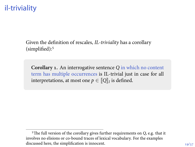## il-triviality

Given the definition of rescales, *IL-triviality* has a corollary (simplified):

**Corollary 1.** An interrogative sentence *Q* in which no content term has multiple occurrences is IL-trivial just in case for all interpretations, at most one  $p \in \llbracket Q \rrbracket_I$  is defined.

The full version of the corollary gives further requirements on *Q*, e.g. that it involves no elisions or co-bound traces of lexical vocabulary. For the examples discussed here, the simplification is innocent.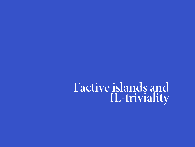## **Factive islands and IL-triviality**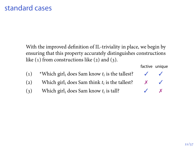## standard cases

With the improved definition of IL-triviality in place, we begin by ensuring that this property accurately distinguishes constructions like  $(1)$  from constructions like  $(2)$  and  $(3)$ .

| $\left( 1\right)$ | *Which girl <sub>i</sub> does Sam know $t_i$ is the tallest? |  |
|-------------------|--------------------------------------------------------------|--|
| $\left( 2\right)$ | Which $\text{girl}_i$ does Sam think $t_i$ is the tallest?   |  |

(3) Which girl<sub>*i*</sub> does Sam know  $t_i$  is tall?  $\checkmark$  X

factive unique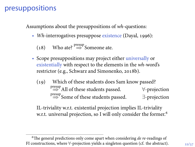## presuppositions

Assumptions about the presuppositions of *wh*-questions:

• *Wh*-interrogatives presuppose existence (Dayal, 1996):

(18) Who ate?  $\stackrel{\text{presup}}{\Rightarrow}$  Someone ate.

- Scope presuppositions may project either universally or existentially with respect to the elements in the *wh*-word's restrictor (e.g., Schwarz and Simonenko, 2018b).
	- (19) Which of these students does Sam know passed? presup =*⇒* All of these students passed. *∀*-projection presup =*⇒* Some of these students passed. *∃*-projection

IL-triviality w.r.t. existential projection implies IL-triviality w.r.t. universal projection, so I will only consider the former.<sup>6</sup>

The general predictions only come apart when considering *de re*-readings of FI constructions, where *∀*-projection yields a singleton question (cf. the abstract).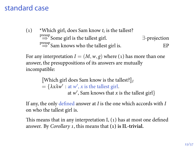#### standard case

() \*Which girl*<sup>i</sup>* does Sam know *t<sup>i</sup>* is the tallest? presup =*⇒* Some girl is the tallest girl. *∃*-projection <sup>presup</sup> Sam knows who the tallest girl is. EP

For any interpretation  $I = (M, w, g)$  where (1) has more than one answer, the presuppositions of its answers are mutually incompatible:

> <sup>J</sup>Which girl does Sam know is the tallest?K*<sup>I</sup>*  $= {\lambda x \lambda w' : \text{at } w', x \text{ is the tallest girl.}}$ at *w ′* , Sam knows that *x* is the tallest girl*}*

If any, the only defined answer at *I* is the one which accords with *I* on who the tallest girl is.

This means that in any interpretation  $I$ ,  $(1)$  has at most one defined answer. By *Corollary 1*, this means that **(1) is IL-trivial.**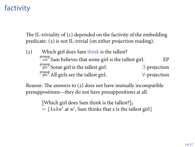## factivity

The IL-triviality of  $(1)$  depended on the factivity of the embedding predicate: (2) is not IL-trivial (on either projection reading).

(2) Which girl does Sam think is the tallest?

| $\stackrel{\text{presup}}{\Rightarrow}$ Sam believes that some girl is the tallest girl. | EP                    |
|------------------------------------------------------------------------------------------|-----------------------|
| $\stackrel{\text{presup}}{\Rightarrow}$ Some girl is the tallest girl.                   | $\exists$ -projection |
| $\overset{\text{presup}}{\Rightarrow}$ All girls are the tallest girl.                   | ∀-projection          |

Reason: The answers to  $(2)$  does not have mutually incompatible presuppositions—they do not have presuppositions at all.

> [Which girl does Sam think is the tallest?] $_I$  $= {\lambda x \lambda w'}.$  at *w'*, Sam thinks that *x* is the tallest girl}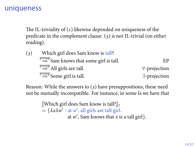## uniqueness

The IL-triviality of  $(1)$  likewise depended on uniqueness of the predicate in the complement clause: (3) is not IL-trivial (on either reading).

| (3) | Which girl does Sam know is tall?                                         |                       |
|-----|---------------------------------------------------------------------------|-----------------------|
|     | $\stackrel{\text{presup}}{\Rightarrow}$ Sam knows that some girl is tall. | F.P                   |
|     | $\Rightarrow^{\text{presup}}$ All girls are tall.                         | $\forall$ -projection |
|     | $\stackrel{\text{presup}}{\Rightarrow}$ Some girl is tall.                | $\exists$ -projection |

Reason: While the answers to  $(3)$  have presuppositions, these need not be mutually incompatible. For instance, in some Is we have that

> $\llbracket$  Which girl does Sam know is tall?  $\rrbracket_I$  $= {\lambda x \lambda w' : \text{at } w', \text{ all girls are tall girl.}}$ at  $w'$ , Sam knows that *x* is a tall girl}.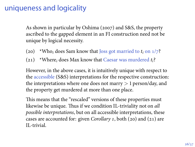## uniqueness and logicality

As shown in particular by Oshima (2007) and S&S, the property ascribed to the gapped element in an FI construction need not be unique by logical necessity.

- (20) \*Who<sub>i</sub> does Sam know that Joss got married to  $t_i$  on  $1/7$ ?
- (21) \*Where<sub>*i*</sub> does Max know that Caesar was murdered  $t_i$ ?

However, in the above cases, it is intuitively unique with respect to the accessible (S&S) interpretations for the respective construction: the interpretations where one does not marry  $> 1$  person/day, and the property get murdered at more than one place.

This means that the "rescaled" versions of these properties must likewise be unique. Thus if we condition IL-triviality not on *all possible interpretations*, but on all accessible interpretations, these cases are accounted for: given *Corollary 1*, both (20) and (21) are IL-trivial.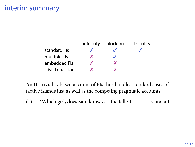## interim summary

|                   | infelicity | blocking | il-triviality |
|-------------------|------------|----------|---------------|
| standard Fls      |            |          |               |
| multiple FIs      |            |          |               |
| embedded Fls      |            |          |               |
| trivial questions |            |          |               |

An IL-triviality based account of FIs thus handles standard cases of factive islands just as well as the competing pragmatic accounts.

() \*Which girl*<sup>i</sup>* does Sam know *t<sup>i</sup>* is the tallest? standard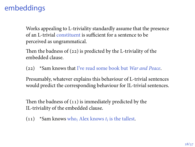## embeddings

Works appealing to L-triviality standardly assume that the presence of an L-trivial constituent is sufficient for a sentence to be perceived as ungrammatical.

Then the badness of  $(22)$  is predicted by the L-triviality of the embedded clause.

(22) \*Sam knows that I've read some book but *War and Peace*.

Presumably, whatever explains this behaviour of L-trivial sentences would predict the corresponding behaviour for IL-trivial sentences.

Then the badness of  $(11)$  is immediately predicted by the IL-triviality of the embedded clause.

 $(11)$  \*Sam knows who<sub>*i*</sub> Alex knows  $t_i$  is the tallest.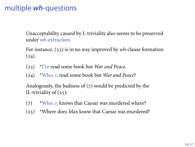## multiple *wh*-questions

Unacceptability caused by L-triviality also seems to be preserved under *wh*-extraction.

For instance, (23) is in no way improved by  $wh$ -clause formation  $(24).$ 

- () \*I've read some book but *War and Peace*.
- () \*Who*<sup>i</sup> t<sup>i</sup>* read some book but *War and Peace*?

Analogously, the badness of  $(7)$  would be predicted by the IL-triviality of  $(25)$ :

- (7)  $*Who_i t_i$  knows that Caesar was murdered where?
- (25) \*Where does Max know that Caesar was murdered?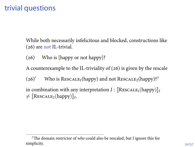## trivial questions

While both necessarily infelicitous and blocked, constructions like  $(26)$  are not IL-trivial.

(26) Who is [happy or not happy]?

A counterexample to the IL-triviality of  $(26)$  is given by the rescale

(26)<sup>'</sup> Who is RESCALE<sub>1</sub>(happy) and not RESCALE<sub>2</sub>(happy)?<sup>7</sup>

in combination with any interpretation  $I : \llbracket \text{Rescale}_1(\text{happy}) \rrbracket_I$  $\neq$  [RESCALE<sub>2</sub>(happy)]<sub>*I*</sub>.

The domain restrictor of *who* could also be rescaled, but I ignore this for simplicity.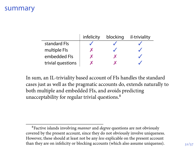#### summary

|                   | infelicity | blocking | il-triviality |
|-------------------|------------|----------|---------------|
| standard Fls      |            |          |               |
| multiple Fls      |            |          |               |
| embedded Fls      |            |          |               |
| trivial questions |            |          |               |

In sum, an IL-triviality based account of FIs handles the standard cases just as well as the pragmatic accounts do, extends naturally to both multiple and embedded FIs, and avoids predicting unacceptability for regular trivial questions.

Factive islands involving *manner* and *degree* questions are not obviously covered by the present account, since they do not obviously involve uniqueness. However, these should at least not be any *less* explicable on the present account than they are on infelicity or blocking accounts (which also assume uniquenss).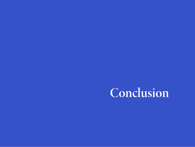# **Conclusion**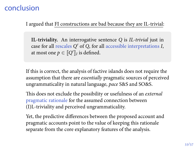## conclusion

I argued that FI constructions are bad because they are IL-trivial:

**IL-triviality.** An interrogative sentence *Q* is *IL-trivial* just in case for all rescales *Q ′* of *Q*, for all accessible interpretations *I*, at most one  $p \in [ \![ Q' ]\!]_I$  is defined.

If this is correct, the analysis of factive islands does not require the assumption that there are *essentially* pragmatic sources of perceived ungrammaticality in natural language, *pace* S&S and SO&S.

This does not exclude the possibility or usefulness of an *external* pragmatic rationale for the assumed connection between (I)L-triviality and perceived ungrammaticality.

Yet, the predictive differences between the proposed account and pragmatic accounts point to the value of keeping this rationale separate from the core explanatory features of the analysis.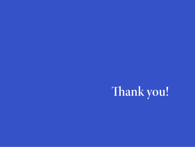# **Thank you!**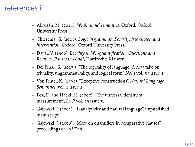## references i

- Abrusán, M. (2014), *Weak island semantics*, Oxford: Oxford University Press.
- Chierchia, G. (2013), *Logic in grammar: Polarity, free choice, and intervention*, Oxford: Oxford University Press.
- Dayal, V. (1996), *Locality in Wh-quantification: Questions and Relative Clauses in Hindi*, Dordrecht: Kl uwer.
- Del Pinal, G. (2017), "The logicality of language: A new take on triviality, ungrammaticality, and logical form", *Noûs* vol. 53 issue 4.
- Von Fintel, K. (1993), "Exceptive constructions", *Natural Language Semantics*, vol. 1 issue 2.
- Fox, D. and Hackl, M. (2007), "The universal density of measurement", *L*&P vol. 29 issue 5.
- Gajewski, J. (2002), "L-analyticity and natural language", unpublished manuscript.
- Gajewski, J. (2008), "More on quantifiers in comparative clauses", proceedings of *SALT 18*.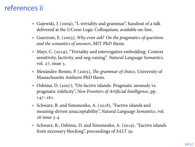## references ii

- Gajewski, J. (2009), "L-triviality and grammar", handout of a talk delivered at the UConn Logic Colloquium, available on-line.
- Guerzoni, E. (2003), *Why even ask? On the pragmatics of questions and the semantics of answers*, MIT PhD thesis.
- Mayr, C. (2019), "Triviality and interrogative embedding: Context sensitivity, factivity, and neg-raising". *Natural Language Semantics*, vol. 27, issue 3.
- Menández-Benito, P. (2005), *The grammar of choice*, University of Massachusetts Amherst PhD thesis.
- Oshima, D. (2007), "On factive islands: Pragmatic anomaly vs. pragmatic infelicity", *New Frontiers of Artificial Intelligence*, pp.  $147 - 161.$
- Schwarz, B. and Simonenko, A. (2018), "Factive islands and meaning-driven unacceptability", *Natural Language Semantics*, vol. 26 issue 3-4.
- Schwarz, B., Oshima, D. and Simonenko, A. (2019), "Factive islands from necessary blocking", proceedings of *SALT 29*.